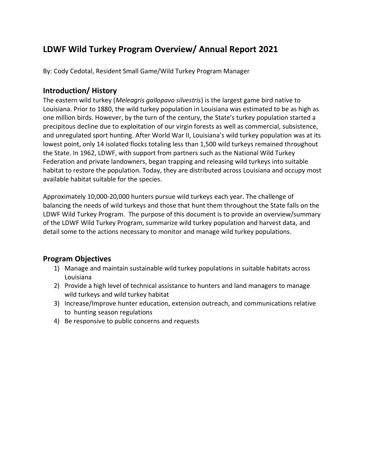# **LDWF Wild Turkey Program Overview/ Annual Report 2021**

By: Cody Cedotal, Resident Small Game/Wild Turkey Program Manager

### **Introduction/ History**

The eastern wild turkey (*Meleagris gallopavo silvestris*) is the largest game bird native to Louisiana. Prior to 1880, the wild turkey population in Louisiana was estimated to be as high as one million birds. However, by the turn of the century, the State's turkey population started a precipitous decline due to exploitation of our virgin forests as well as commercial, subsistence, and unregulated sport hunting. After World War II, Louisiana's wild turkey population was at its lowest point, only 14 isolated flocks totaling less than 1,500 wild turkeys remained throughout the State. In 1962, LDWF, with support from partners such as the National Wild Turkey Federation and private landowners, began trapping and releasing wild turkeys into suitable habitat to restore the population. Today, they are distributed across Louisiana and occupy most available habitat suitable for the species.

Approximately 10,000-20,000 hunters pursue wild turkeys each year. The challenge of balancing the needs of wild turkeys and those that hunt them throughout the State falls on the LDWF Wild Turkey Program. The purpose of this document is to provide an overview/summary of the LDWF Wild Turkey Program, summarize wild turkey population and harvest data, and detail some to the actions necessary to monitor and manage wild turkey populations.

# **Program Objectives**

- 1) Manage and maintain sustainable wild turkey populations in suitable habitats across Louisiana
- 2) Provide a high level of technical assistance to hunters and land managers to manage wild turkeys and wild turkey habitat
- 3) Increase/Improve hunter education, extension outreach, and communications relative to hunting season regulations
- 4) Be responsive to public concerns and requests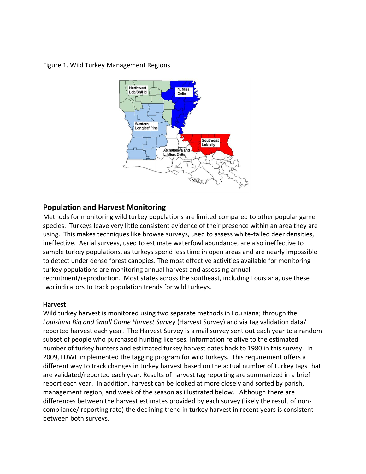#### Figure 1. Wild Turkey Management Regions



### **Population and Harvest Monitoring**

Methods for monitoring wild turkey populations are limited compared to other popular game species. Turkeys leave very little consistent evidence of their presence within an area they are using. This makes techniques like browse surveys, used to assess white-tailed deer densities, ineffective. Aerial surveys, used to estimate waterfowl abundance, are also ineffective to sample turkey populations, as turkeys spend less time in open areas and are nearly impossible to detect under dense forest canopies. The most effective activities available for monitoring turkey populations are monitoring annual harvest and assessing annual recruitment/reproduction. Most states across the southeast, including Louisiana, use these two indicators to track population trends for wild turkeys.

#### **Harvest**

Wild turkey harvest is monitored using two separate methods in Louisiana; through the *Louisiana Big and Small Game Harvest Survey* (Harvest Survey) and via tag validation data/ reported harvest each year. The Harvest Survey is a mail survey sent out each year to a random subset of people who purchased hunting licenses. Information relative to the estimated number of turkey hunters and estimated turkey harvest dates back to 1980 in this survey. In 2009, LDWF implemented the tagging program for wild turkeys. This requirement offers a different way to track changes in turkey harvest based on the actual number of turkey tags that are validated/reported each year. Results of harvest tag reporting are summarized in a brief report each year. In addition, harvest can be looked at more closely and sorted by parish, management region, and week of the season as illustrated below. Although there are differences between the harvest estimates provided by each survey (likely the result of noncompliance/ reporting rate) the declining trend in turkey harvest in recent years is consistent between both surveys.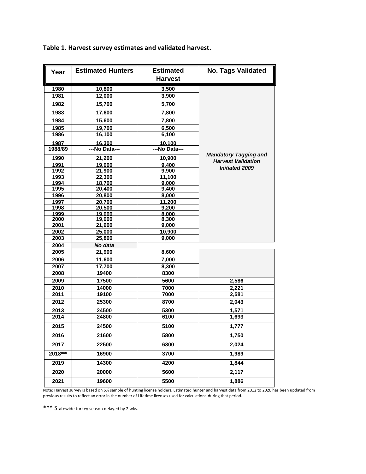| Year    | <b>Estimated Hunters</b> | <b>Estimated</b><br><b>Harvest</b> | <b>No. Tags Validated</b>    |  |
|---------|--------------------------|------------------------------------|------------------------------|--|
| 1980    | 10,800                   | 3,500                              |                              |  |
| 1981    | 12,000                   | 3,900                              |                              |  |
| 1982    | 15,700                   | 5,700                              |                              |  |
| 1983    | 17,600                   | 7,800                              |                              |  |
| 1984    | 15,600                   | 7,800                              |                              |  |
| 1985    | 19,700                   | 6,500                              |                              |  |
| 1986    | 16,100                   | 6,100                              |                              |  |
| 1987    | 16,300                   | 10,100                             |                              |  |
| 1988/89 | ---No Data---            | ---No Data---                      |                              |  |
| 1990    | 21,200                   | 10,900                             | <b>Mandatory Tagging and</b> |  |
| 1991    | 19,000                   | 9,400                              | <b>Harvest Validation</b>    |  |
| 1992    | 21,900                   | 9,900                              | <b>Initiated 2009</b>        |  |
| 1993    | 22,300                   | 11,100                             |                              |  |
| 1994    | 18,700                   | 9,000                              |                              |  |
| 1995    | 20,400                   | 9,400                              |                              |  |
| 1996    | 20,800                   | 8,000                              |                              |  |
| 1997    | 20,700                   | 11,200                             |                              |  |
| 1998    | 20,500                   | 9,200                              |                              |  |
| 1999    | 19.000                   | 8.000                              |                              |  |
| 2000    | 19,000                   | 8,300                              |                              |  |
| 2001    | 21,900                   | 9,000                              |                              |  |
| 2002    | 25,000                   | 10,900                             |                              |  |
| 2003    | 25,800                   | 9,000                              |                              |  |
| 2004    | No data                  |                                    |                              |  |
| 2005    | 21,900                   | 8,600                              |                              |  |
| 2006    | 11,600                   | 7,000                              |                              |  |
| 2007    | 17,700                   | 8,300                              |                              |  |
| 2008    | 19400                    | 8300                               |                              |  |
| 2009    | 17500                    | 5600                               | 2,586                        |  |
| 2010    | 14000                    | 7000                               | 2,221                        |  |
| 2011    | 19100                    | 7000                               | 2,581                        |  |
| 2012    | 25300                    | 8700                               | 2,043                        |  |
| 2013    | 24500                    | 5300                               | 1,571                        |  |
| 2014    | 24800                    | 6100                               | 1,693                        |  |
| 2015    | 24500                    | 5100                               | 1,777                        |  |
| 2016    | 21600                    | 5800                               | 1,750                        |  |
| 2017    | 22500                    | 6300                               | 2,024                        |  |
| 2018*** | 16900                    | 3700                               | 1,989                        |  |
| 2019    | 14300                    | 4200                               | 1,844                        |  |
| 2020    | 20000                    | 5600                               | 2,117                        |  |
| 2021    | 19600                    | 5500                               | 1,886                        |  |

**Table 1. Harvest survey estimates and validated harvest.**

Note: Harvest survey is based on 6% sample of hunting license holders. Estimated hunter and harvest data from 2012 to 2020 has been updated from previous results to reflect an error in the number of Lifetime licenses used for calculations during that period.

\*\*\* Statewide turkey season delayed by 2 wks.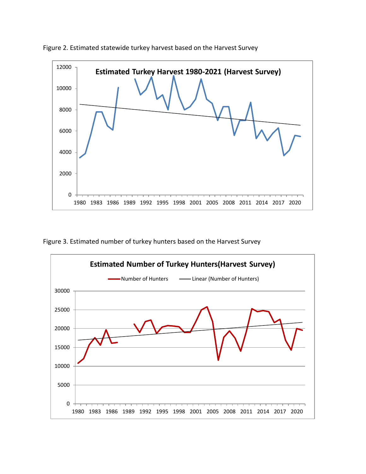

Figure 2. Estimated statewide turkey harvest based on the Harvest Survey

Figure 3. Estimated number of turkey hunters based on the Harvest Survey

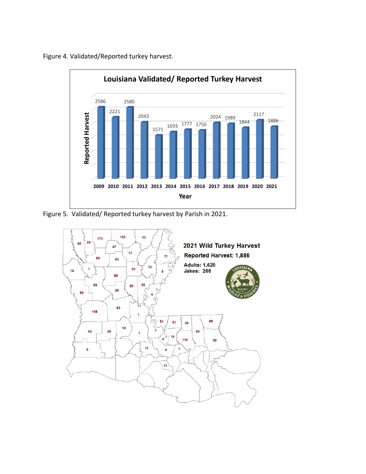

Figure 4. Validated/Reported turkey harvest.

Figure 5. Validated/ Reported turkey harvest by Parish in 2021.

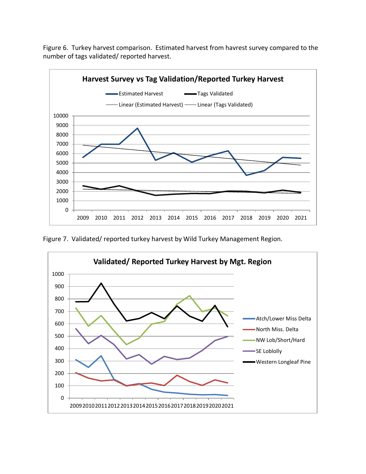Figure 6. Turkey harvest comparison. Estimated harvest from havrest survey compared to the number of tags validated/ reported harvest.



Figure 7. Validated/ reported turkey harvest by Wild Turkey Management Region.

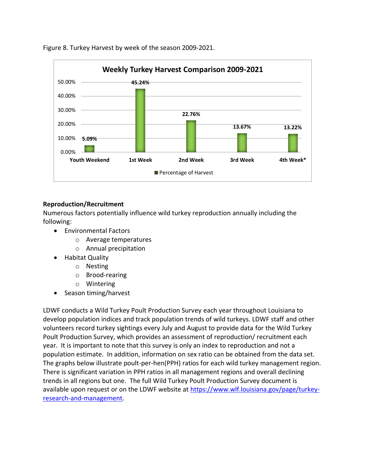

Figure 8. Turkey Harvest by week of the season 2009-2021.

### **Reproduction/Recruitment**

Numerous factors potentially influence wild turkey reproduction annually including the following:

- Environmental Factors
	- o Average temperatures
	- o Annual precipitation
- Habitat Quality
	- o Nesting
	- o Brood-rearing
	- o Wintering
- Season timing/harvest

LDWF conducts a Wild Turkey Poult Production Survey each year throughout Louisiana to develop population indices and track population trends of wild turkeys. LDWF staff and other volunteers record turkey sightings every July and August to provide data for the Wild Turkey Poult Production Survey, which provides an assessment of reproduction/ recruitment each year. It is important to note that this survey is only an index to reproduction and not a population estimate. In addition, information on sex ratio can be obtained from the data set. The graphs below illustrate poult-per-hen(PPH) ratios for each wild turkey management region. There is significant variation in PPH ratios in all management regions and overall declining trends in all regions but one. The full Wild Turkey Poult Production Survey document is available upon request or on the LDWF website at [https://www.wlf.louisiana.gov/page/turkey](https://www.wlf.louisiana.gov/page/turkey-research-and-management)[research-and-management.](https://www.wlf.louisiana.gov/page/turkey-research-and-management)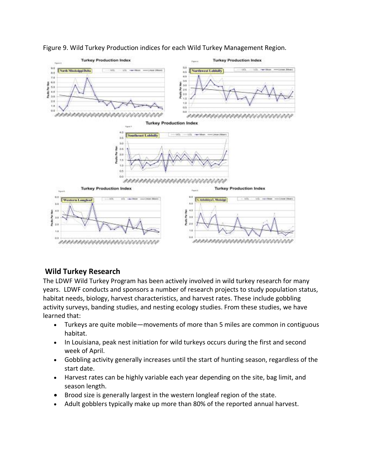

### Figure 9. Wild Turkey Production indices for each Wild Turkey Management Region.

# **Wild Turkey Research**

The LDWF Wild Turkey Program has been actively involved in wild turkey research for many years. LDWF conducts and sponsors a number of research projects to study population status, habitat needs, biology, harvest characteristics, and harvest rates. These include gobbling activity surveys, banding studies, and nesting ecology studies. From these studies, we have learned that:

- Turkeys are quite mobile—movements of more than 5 miles are common in contiguous habitat.
- In Louisiana, peak nest initiation for wild turkeys occurs during the first and second week of April.
- Gobbling activity generally increases until the start of hunting season, regardless of the start date.
- Harvest rates can be highly variable each year depending on the site, bag limit, and season length.
- Brood size is generally largest in the western longleaf region of the state.
- Adult gobblers typically make up more than 80% of the reported annual harvest.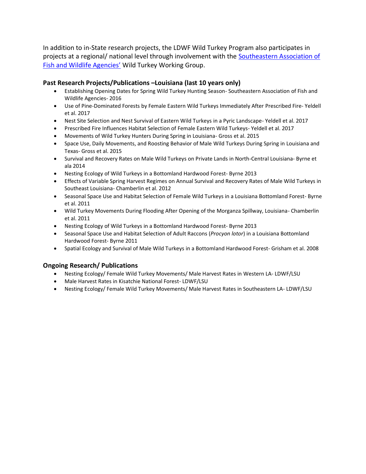In addition to in-State research projects, the LDWF Wild Turkey Program also participates in projects at a regional/ national level through involvement with the Southeastern Association of Fish and Wildlife Agencies' Wild Turkey Working Group.

#### **Past Research Projects/Publications –Louisiana (last 10 years only)**

- Establishing Opening Dates for Spring Wild Turkey Hunting Season- Southeastern Association of Fish and Wildlife Agencies- 2016
- Use of Pine-Dominated Forests by Female Eastern Wild Turkeys Immediately After Prescribed Fire- Yeldell et al. 2017
- Nest Site Selection and Nest Survival of Eastern Wild Turkeys in a Pyric Landscape- Yeldell et al. 2017
- Prescribed Fire Influences Habitat Selection of Female Eastern Wild Turkeys- Yeldell et al. 2017
- Movements of Wild Turkey Hunters During Spring in Louisiana- Gross et al. 2015
- Space Use, Daily Movements, and Roosting Behavior of Male Wild Turkeys During Spring in Louisiana and Texas- Gross et al. 2015
- Survival and Recovery Rates on Male Wild Turkeys on Private Lands in North-Central Louisiana- Byrne et ala 2014
- Nesting Ecology of Wild Turkeys in a Bottomland Hardwood Forest- Byrne 2013
- Effects of Variable Spring Harvest Regimes on Annual Survival and Recovery Rates of Male Wild Turkeys in Southeast Louisiana- Chamberlin et al. 2012
- Seasonal Space Use and Habitat Selection of Female Wild Turkeys in a Louisiana Bottomland Forest- Byrne et al. 2011
- Wild Turkey Movements During Flooding After Opening of the Morganza Spillway, Louisiana- Chamberlin et al. 2011
- Nesting Ecology of Wild Turkeys in a Bottomland Hardwood Forest- Byrne 2013
- Seasonal Space Use and Habitat Selection of Adult Raccons (*Procyon lotor*) in a Louisiana Bottomland Hardwood Forest- Byrne 2011
- Spatial Ecology and Survival of Male Wild Turkeys in a Bottomland Hardwood Forest- Grisham et al. 2008

#### **Ongoing Research/ Publications**

- Nesting Ecology/ Female Wild Turkey Movements/ Male Harvest Rates in Western LA- LDWF/LSU
- Male Harvest Rates in Kisatchie National Forest- LDWF/LSU
- Nesting Ecology/ Female Wild Turkey Movements/ Male Harvest Rates in Southeastern LA- LDWF/LSU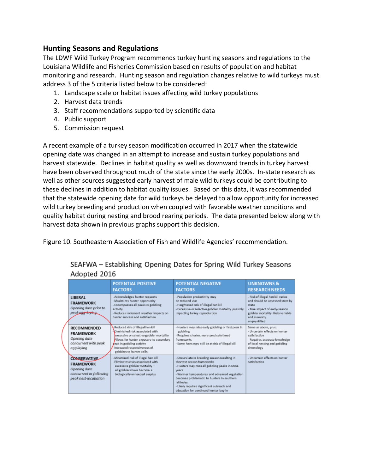### **Hunting Seasons and Regulations**

The LDWF Wild Turkey Program recommends turkey hunting seasons and regulations to the Louisiana Wildlife and Fisheries Commission based on results of population and habitat monitoring and research. Hunting season and regulation changes relative to wild turkeys must address 3 of the 5 criteria listed below to be considered:

- 1. Landscape scale or habitat issues affecting wild turkey populations
- 2. Harvest data trends
- 3. Staff recommendations supported by scientific data
- 4. Public support
- 5. Commission request

A recent example of a turkey season modification occurred in 2017 when the statewide opening date was changed in an attempt to increase and sustain turkey populations and harvest statewide. Declines in habitat quality as well as downward trends in turkey harvest have been observed throughout much of the state since the early 2000s. In-state research as well as other sources suggested early harvest of male wild turkeys could be contributing to these declines in addition to habitat quality issues. Based on this data, it was recommended that the statewide opening date for wild turkeys be delayed to allow opportunity for increased wild turkey breeding and production when coupled with favorable weather conditions and quality habitat during nesting and brood rearing periods. The data presented below along with harvest data shown in previous graphs support this decision.

Figure 10. Southeastern Association of Fish and Wildlife Agencies' recommendation.

|                                                                                                            | <b>POTENTIAL POSITIVE</b><br><b>FACTORS</b>                                                                                                                                                                                                            | <b>POTENTIAL NEGATIVE</b><br><b>FACTORS</b>                                                                                                                                                                                                                                                                                                      | <b>UNKNOWNS &amp;</b><br><b>RESEARCH NEEDS</b>                                                                                                                                       |
|------------------------------------------------------------------------------------------------------------|--------------------------------------------------------------------------------------------------------------------------------------------------------------------------------------------------------------------------------------------------------|--------------------------------------------------------------------------------------------------------------------------------------------------------------------------------------------------------------------------------------------------------------------------------------------------------------------------------------------------|--------------------------------------------------------------------------------------------------------------------------------------------------------------------------------------|
| LIBERAL<br><b>FRAMEWORK</b><br>Opening date prior to<br>peak saa laying                                    | - Acknowledges hunter requests<br>- Maximizes hunter opportunity<br>- Encompasses all peaks in gobbling<br>activity<br>- Reduces inclement weather impacts on<br>hunter success and satisfaction                                                       | - Population productivity may<br>be reduced via:<br>- Heightened risk of illegal hen kill<br>- Excessive or selective gobbler mortality possibly<br>impacting turkey reproduction                                                                                                                                                                | - Risk of illegal hen kill varies<br>and should be assessed state by<br>state<br>- True impact of early-season<br>gobbler mortality likely variable<br>and currently<br>unguantified |
| RECOMMENDED<br><b>FRAMEWORK</b><br>Opening date<br>concurrent with peak<br>egg laying                      | Reduced risk of illegal hen kill<br>Diminished risk associated with<br>excessive or selective gobbler mortality<br>- Allows for hunter exposure to secondary<br>seak in gobbling activity<br>- Increased responsiveness of<br>gobblers to hunter calls | - Hunters may miss early gobbling or first peak in<br>gobbling<br>- Requires shorter, more precisely timed<br>frameworks<br>- Some hens may still be at risk of illegal kill                                                                                                                                                                     | Same as above, plus:<br>- Uncertain effects on hunter<br>satisfaction<br>- Requires accurate knowledge<br>of local nesting and gobbling<br>chronology                                |
| <b>CONSERVATIVE</b><br><b>FRAMEWORK</b><br>Opening date<br>concurrent or following<br>peak nest-incubation | - Minimized risk of illegal hen kill<br>- Eliminates risks associated with<br>excessive gobbler mortality -<br>all gobblers have become a<br>biologically unneeded surplus                                                                             | - Occurs late in breeding season resulting in<br>shortest season frameworks.<br>- Hunters may miss all gobbling peaks in some<br><b>Vears</b><br>- Warmer temperatures and advanced vegetation<br>becomes problematic to hunters in southern<br>latitudes<br>- Likely requires significant outreach and<br>education for continued hunter buy-in | - Uncertain effects on hunter<br>satisfaction                                                                                                                                        |

### SEAFWA - Establishing Opening Dates for Spring Wild Turkey Seasons Adopted 2016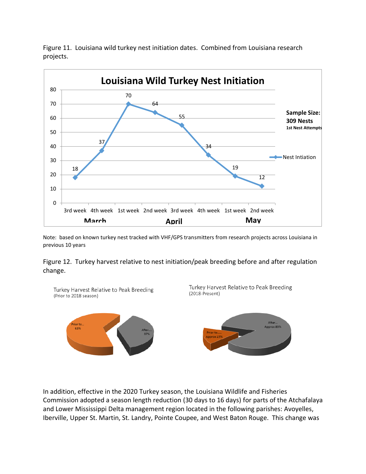

projects.

Figure 11. Louisiana wild turkey nest initiation dates. Combined from Louisiana research

Note: based on known turkey nest tracked with VHF/GPS transmitters from research projects across Louisiana in previous 10 years

Figure 12. Turkey harvest relative to nest initiation/peak breeding before and after regulation change.



In addition, effective in the 2020 Turkey season, the Louisiana Wildlife and Fisheries Commission adopted a season length reduction (30 days to 16 days) for parts of the Atchafalaya and Lower Mississippi Delta management region located in the following parishes: Avoyelles, Iberville, Upper St. Martin, St. Landry, Pointe Coupee, and West Baton Rouge. This change was